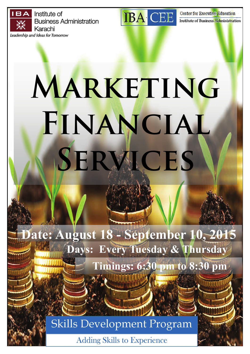Institute of **Business Administration** Karachi Leadership and Ideas for Tomorrow



Center for Executive Education Institute of Business Administration

# **MARKETING Financial Services**

**Date: August 18 - September 10, 2015 Days: Every Tuesday & Thursday** 

 **Timings: 6:30 pm to 8:30 pm** 

**Skills Development Program** 

**Adding Skills to Experience**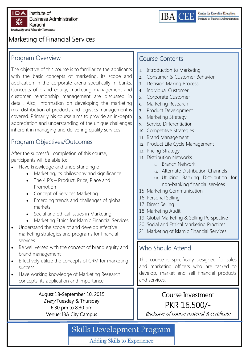



## Marketing of Financial Services

#### Program Overview

The objective of this course is to familiarize the applicants with the basic concepts of marketing, its scope and application in the corporate arena specifically in banks. Concepts of brand equity, marketing management and customer relationship management are discussed in detail. Also, information on developing the marketing mix, distribution of products and logistics management is covered. Primarily his course aims to provide an in-depth appreciation and understanding of the unique challenges inherent in managing and delivering quality services.

#### Program Objectives/Outcomes

After the successful completion of this course, participants will be able to:

- Have knowledge and understanding of:
	- Marketing, its philosophy and significance
	- The 4 P's Product, Price, Place and Promotion
	- Concept of Services Marketing
	- Emerging trends and challenges of global markets
	- Social and ethical issues in Marketing
	- Marketing Ethics for Islamic Financial Services
- Understand the scope of and develop effective marketing strategies and programs for financial services
- Be well versed with the concept of brand equity and brand management
- Effectively utilize the concepts of CRM for marketing success
- Have working knowledge of Marketing Research concepts, its application and importance.

August 18-September 10, 2015 Every Tuesday & Thursday 6:30 pm to 8:30 pm Venue: IBA City Campus

#### Course Contents

- 1. Introduction to Marketing
- Consumer & Customer Behavior
- Decision Making Process
- 4. Individual Customer
- 5. Corporate Customer
- 6. Marketing Research
- 7. Product Development
- 8. Marketing Strategy
- 9. Service Differentiation
- 10. Competitive Strategies
- 11. Brand Management
- 12. Product Life Cycle Management
- 13. Pricing Strategy
- 14. Distribution Networks
	- Branch Network
	- Alternate Distribution Channels
	- uu. Utilizing Banking Distribution for non-banking financial services
- 15. Marketing Communication
- 16. Personal Selling
- 17. Direct Selling
- 18. Marketing Audit
- 19. Global Marketing & Selling Perspective
- 20. Social and Ethical Marketing Practices
- 21. Marketing of Islamic Financial Services

#### Who Should Attend

This course is specifically designed for sales and marketing officers who are tasked to develop, market and sell financial products and services.

## Course Investment PKR 16,500/- (Inclusive of course material & certificate

# **Skills Development Program**

**Adding Skills to Experience**